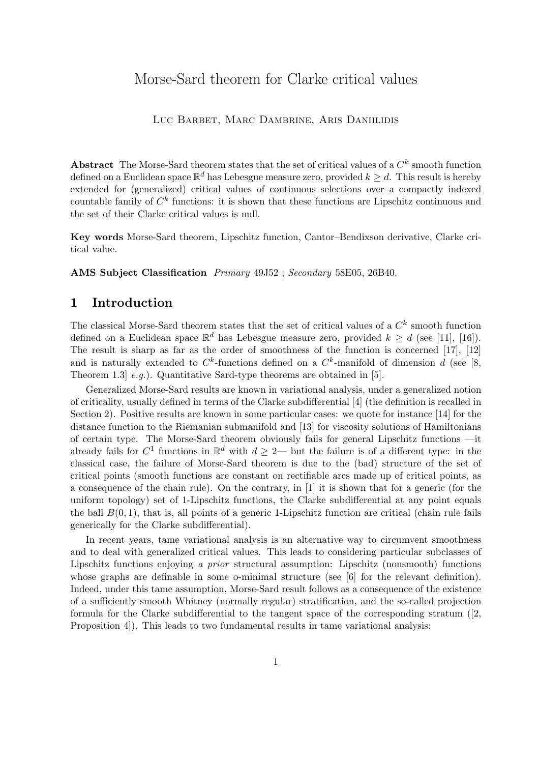# Morse-Sard theorem for Clarke critical values

#### LUC BARBET, MARC DAMBRINE, ARIS DANIILIDIS

Abstract The Morse-Sard theorem states that the set of critical values of a  $C<sup>k</sup>$  smooth function defined on a Euclidean space  $\mathbb{R}^d$  has Lebesgue measure zero, provided  $k\geq d.$  This result is hereby extended for (generalized) critical values of continuous selections over a compactly indexed countable family of  $C<sup>k</sup>$  functions: it is shown that these functions are Lipschitz continuous and the set of their Clarke critical values is null.

Key words Morse-Sard theorem, Lipschitz function, Cantor–Bendixson derivative, Clarke critical value.

AMS Subject Classification Primary 49J52 ; Secondary 58E05, 26B40.

# 1 Introduction

The classical Morse-Sard theorem states that the set of critical values of a  $C<sup>k</sup>$  smooth function defined on a Euclidean space  $\mathbb{R}^d$  has Lebesgue measure zero, provided  $k \geq d$  (see [11], [16]). The result is sharp as far as the order of smoothness of the function is concerned [17], [12] and is naturally extended to  $C^k$ -functions defined on a  $C^k$ -manifold of dimension d (see [8, Theorem 1.3  $e.g.,$  Quantitative Sard-type theorems are obtained in [5].

Generalized Morse-Sard results are known in variational analysis, under a generalized notion of criticality, usually defined in terms of the Clarke subdifferential [4] (the definition is recalled in Section 2). Positive results are known in some particular cases: we quote for instance [14] for the distance function to the Riemanian submanifold and [13] for viscosity solutions of Hamiltonians of certain type. The Morse-Sard theorem obviously fails for general Lipschitz functions —it already fails for  $C^1$  functions in  $\mathbb{R}^d$  with  $d \geq 2$ — but the failure is of a different type: in the classical case, the failure of Morse-Sard theorem is due to the (bad) structure of the set of critical points (smooth functions are constant on rectifiable arcs made up of critical points, as a consequence of the chain rule). On the contrary, in [1] it is shown that for a generic (for the uniform topology) set of 1-Lipschitz functions, the Clarke subdifferential at any point equals the ball  $B(0, 1)$ , that is, all points of a generic 1-Lipschitz function are critical (chain rule fails generically for the Clarke subdifferential).

In recent years, tame variational analysis is an alternative way to circumvent smoothness and to deal with generalized critical values. This leads to considering particular subclasses of Lipschitz functions enjoying a prior structural assumption: Lipschitz (nonsmooth) functions whose graphs are definable in some o-minimal structure (see [6] for the relevant definition). Indeed, under this tame assumption, Morse-Sard result follows as a consequence of the existence of a sufficiently smooth Whitney (normally regular) stratification, and the so-called projection formula for the Clarke subdifferential to the tangent space of the corresponding stratum ([2, Proposition 4]). This leads to two fundamental results in tame variational analysis: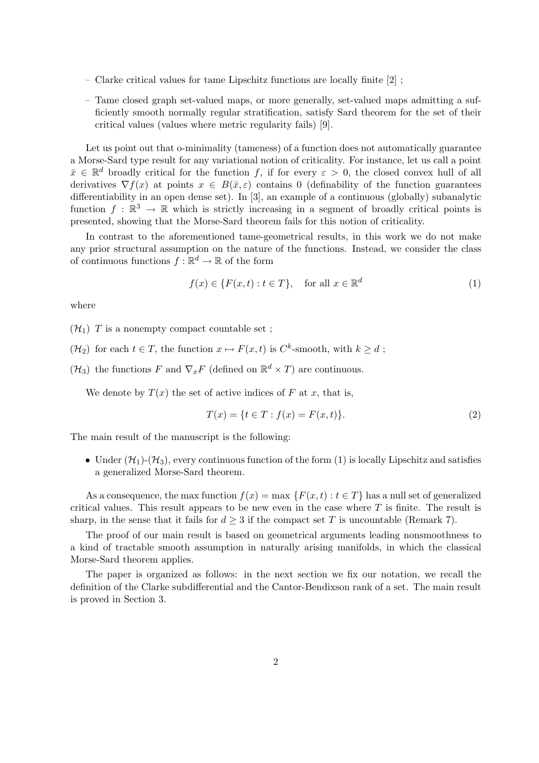- Clarke critical values for tame Lipschitz functions are locally finite [2] ;
- Tame closed graph set-valued maps, or more generally, set-valued maps admitting a sufficiently smooth normally regular stratification, satisfy Sard theorem for the set of their critical values (values where metric regularity fails) [9].

Let us point out that o-minimality (tameness) of a function does not automatically guarantee a Morse-Sard type result for any variational notion of criticality. For instance, let us call a point  $\bar{x} \in \mathbb{R}^d$  broadly critical for the function f, if for every  $\varepsilon > 0$ , the closed convex hull of all derivatives  $\nabla f(x)$  at points  $x \in B(\bar{x}, \varepsilon)$  contains 0 (definability of the function guarantees differentiability in an open dense set). In [3], an example of a continuous (globally) subanalytic function  $f : \mathbb{R}^3 \to \mathbb{R}$  which is strictly increasing in a segment of broadly critical points is presented, showing that the Morse-Sard theorem fails for this notion of criticality.

In contrast to the aforementioned tame-geometrical results, in this work we do not make any prior structural assumption on the nature of the functions. Instead, we consider the class of continuous functions  $f : \mathbb{R}^d \to \mathbb{R}$  of the form

$$
f(x) \in \{F(x,t) : t \in T\}, \quad \text{for all } x \in \mathbb{R}^d \tag{1}
$$

where

- $(\mathcal{H}_1)$  T is a nonempty compact countable set;
- $(\mathcal{H}_2)$  for each  $t \in T$ , the function  $x \mapsto F(x, t)$  is  $C^k$ -smooth, with  $k \geq d$ ;
- $(\mathcal{H}_3)$  the functions F and  $\nabla_x F$  (defined on  $\mathbb{R}^d \times T$ ) are continuous.

We denote by  $T(x)$  the set of active indices of F at x, that is,

$$
T(x) = \{ t \in T : f(x) = F(x, t) \}. \tag{2}
$$

The main result of the manuscript is the following:

• Under  $(\mathcal{H}_1)$ - $(\mathcal{H}_3)$ , every continuous function of the form (1) is locally Lipschitz and satisfies a generalized Morse-Sard theorem.

As a consequence, the max function  $f(x) = \max \{F(x,t) : t \in T\}$  has a null set of generalized critical values. This result appears to be new even in the case where  $T$  is finite. The result is sharp, in the sense that it fails for  $d \geq 3$  if the compact set T is uncountable (Remark 7).

The proof of our main result is based on geometrical arguments leading nonsmoothness to a kind of tractable smooth assumption in naturally arising manifolds, in which the classical Morse-Sard theorem applies.

The paper is organized as follows: in the next section we fix our notation, we recall the definition of the Clarke subdifferential and the Cantor-Bendixson rank of a set. The main result is proved in Section 3.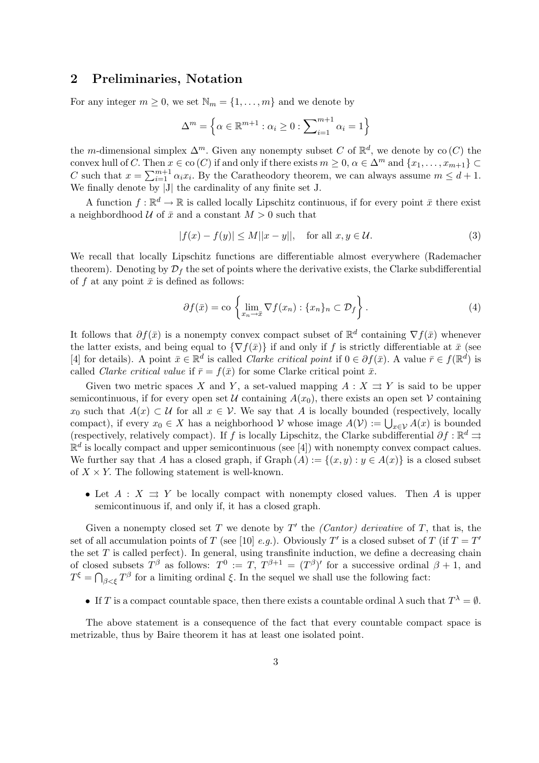## 2 Preliminaries, Notation

For any integer  $m \geq 0$ , we set  $\mathbb{N}_m = \{1, \ldots, m\}$  and we denote by

$$
\Delta^m = \left\{ \alpha \in \mathbb{R}^{m+1} : \alpha_i \ge 0 : \sum\nolimits_{i=1}^{m+1} \alpha_i = 1 \right\}
$$

the m-dimensional simplex  $\Delta^m$ . Given any nonempty subset C of  $\mathbb{R}^d$ , we denote by co(C) the convex hull of C. Then  $x \in \text{co}(C)$  if and only if there exists  $m \geq 0$ ,  $\alpha \in \Delta^m$  and  $\{x_1, \ldots, x_{m+1}\} \subset$ C such that  $x = \sum_{i=1}^{m+1}$  $_{i=1}^{m+1} \alpha_i x_i$ . By the Caratheodory theorem, we can always assume  $m \leq d+1$ . We finally denote by |J| the cardinality of any finite set J.

A function  $f : \mathbb{R}^d \to \mathbb{R}$  is called locally Lipschitz continuous, if for every point  $\bar{x}$  there exist a neighbordhood  $\mathcal U$  of  $\bar x$  and a constant  $M > 0$  such that

$$
|f(x) - f(y)| \le M||x - y||, \quad \text{for all } x, y \in \mathcal{U}.
$$
 (3)

We recall that locally Lipschitz functions are differentiable almost everywhere (Rademacher theorem). Denoting by  $\mathcal{D}_f$  the set of points where the derivative exists, the Clarke subdifferential of f at any point  $\bar{x}$  is defined as follows:

$$
\partial f(\bar{x}) = \text{co}\left\{\lim_{x_n \to \bar{x}} \nabla f(x_n) : \{x_n\}_n \subset \mathcal{D}_f\right\}.
$$
 (4)

It follows that  $\partial f(\bar{x})$  is a nonempty convex compact subset of  $\mathbb{R}^d$  containing  $\nabla f(\bar{x})$  whenever the latter exists, and being equal to  $\{\nabla f(\bar{x})\}$  if and only if f is strictly differentiable at  $\bar{x}$  (see [4] for details). A point  $\bar{x} \in \mathbb{R}^d$  is called *Clarke critical point* if  $0 \in \partial f(\bar{x})$ . A value  $\bar{r} \in f(\mathbb{R}^d)$  is called Clarke critical value if  $\bar{r} = f(\bar{x})$  for some Clarke critical point  $\bar{x}$ .

Given two metric spaces X and Y, a set-valued mapping  $A: X \rightrightarrows Y$  is said to be upper semicontinuous, if for every open set U containing  $A(x_0)$ , there exists an open set V containing  $x_0$  such that  $A(x) \subset U$  for all  $x \in V$ . We say that A is locally bounded (respectively, locally compact), if every  $x_0 \in X$  has a neighborhood  $V$  whose image  $A(V) := \bigcup_{x \in V} A(x)$  is bounded<br>compact), if every  $x_0 \in X$  has a neighborhood  $V$  whose image  $A(V) := \bigcup_{x \in V} A(x)$  is bounded (respectively, relatively compact). If f is locally Lipschitz, the Clarke subdifferential  $\partial f : \mathbb{R}^d \rightrightarrows$  $\mathbb{R}^d$  is locally compact and upper semicontinuous (see [4]) with nonempty convex compact calues. We further say that A has a closed graph, if  $\operatorname{Graph}(A) := \{(x, y) : y \in A(x)\}\$ is a closed subset of  $X \times Y$ . The following statement is well-known.

• Let  $A: X \rightrightarrows Y$  be locally compact with nonempty closed values. Then A is upper semicontinuous if, and only if, it has a closed graph.

Given a nonempty closed set T we denote by  $T'$  the *(Cantor) derivative* of T, that is, the set of all accumulation points of T (see [10] e.g.). Obviously T' is a closed subset of T (if  $T = T'$ ) the set  $T$  is called perfect). In general, using transfinite induction, we define a decreasing chain of closed subsets  $T^{\beta}$  as follows:  $T^0 := T$ ,  $T^{\beta+1} = (T^{\beta})'$  for a successive ordinal  $\beta + 1$ , and  $T^{\xi} = \bigcap_{\beta < \xi} T^{\beta}$  for a limiting ordinal  $\xi$ . In the sequel we shall use the following fact:

• If T is a compact countable space, then there exists a countable ordinal  $\lambda$  such that  $T^{\lambda} = \emptyset$ .

The above statement is a consequence of the fact that every countable compact space is metrizable, thus by Baire theorem it has at least one isolated point.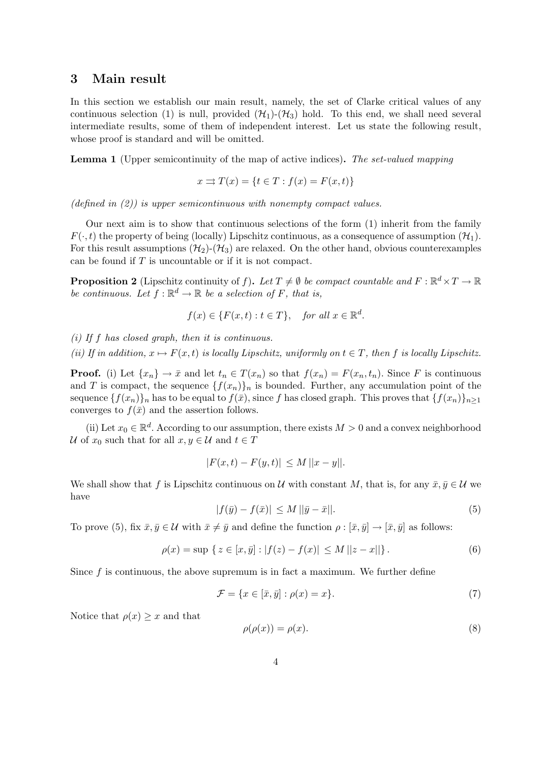#### 3 Main result

In this section we establish our main result, namely, the set of Clarke critical values of any continuous selection (1) is null, provided  $(\mathcal{H}_1)$ - $(\mathcal{H}_3)$  hold. To this end, we shall need several intermediate results, some of them of independent interest. Let us state the following result, whose proof is standard and will be omitted.

Lemma 1 (Upper semicontinuity of the map of active indices). The set-valued mapping

$$
x \rightrightarrows T(x) = \{t \in T : f(x) = F(x, t)\}
$$

 $(defind in (2))$  is upper semicontinuous with nonempty compact values.

Our next aim is to show that continuous selections of the form (1) inherit from the family  $F(\cdot, t)$  the property of being (locally) Lipschitz continuous, as a consequence of assumption  $(\mathcal{H}_1)$ . For this result assumptions  $(\mathcal{H}_2)$ - $(\mathcal{H}_3)$  are relaxed. On the other hand, obvious counterexamples can be found if  $T$  is uncountable or if it is not compact.

**Proposition 2** (Lipschitz continuity of f). Let  $T \neq \emptyset$  be compact countable and  $F : \mathbb{R}^d \times T \to \mathbb{R}$ be continuous. Let  $f : \mathbb{R}^d \to \mathbb{R}$  be a selection of F, that is,

$$
f(x) \in \{F(x,t) : t \in T\}, \text{ for all } x \in \mathbb{R}^d.
$$

(i) If f has closed graph, then it is continuous.

(ii) If in addition,  $x \mapsto F(x, t)$  is locally Lipschitz, uniformly on  $t \in T$ , then f is locally Lipschitz.

**Proof.** (i) Let  $\{x_n\} \to \bar{x}$  and let  $t_n \in T(x_n)$  so that  $f(x_n) = F(x_n, t_n)$ . Since F is continuous and T is compact, the sequence  $\{f(x_n)\}_n$  is bounded. Further, any accumulation point of the sequence  ${f(x_n)}_n$  has to be equal to  $f(\bar{x})$ , since f has closed graph. This proves that  ${f(x_n)}_{n>1}$ converges to  $f(\bar{x})$  and the assertion follows.

(ii) Let  $x_0 \in \mathbb{R}^d$ . According to our assumption, there exists  $M > 0$  and a convex neighborhood U of  $x_0$  such that for all  $x, y \in U$  and  $t \in T$ 

$$
|F(x,t) - F(y,t)| \le M ||x - y||.
$$

We shall show that f is Lipschitz continuous on U with constant M, that is, for any  $\bar{x}, \bar{y} \in \mathcal{U}$  we have

$$
|f(\bar{y}) - f(\bar{x})| \le M \, ||\bar{y} - \bar{x}||. \tag{5}
$$

To prove (5), fix  $\bar{x}, \bar{y} \in \mathcal{U}$  with  $\bar{x} \neq \bar{y}$  and define the function  $\rho : [\bar{x}, \bar{y}] \to [\bar{x}, \bar{y}]$  as follows:

$$
\rho(x) = \sup \{ z \in [x, \bar{y}] : |f(z) - f(x)| \le M ||z - x|| \}.
$$
\n(6)

Since  $f$  is continuous, the above supremum is in fact a maximum. We further define

$$
\mathcal{F} = \{ x \in [\bar{x}, \bar{y}] : \rho(x) = x \}. \tag{7}
$$

Notice that  $\rho(x) \geq x$  and that

$$
\rho(\rho(x)) = \rho(x). \tag{8}
$$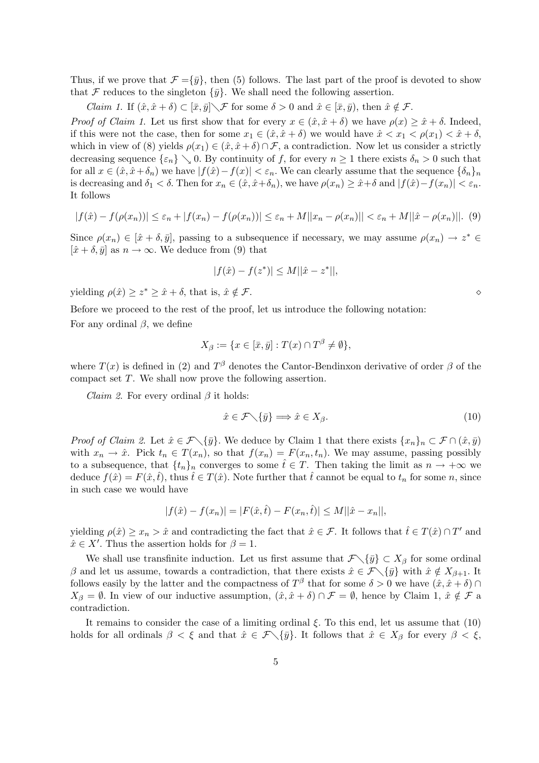Thus, if we prove that  $\mathcal{F} = {\bar{y}}$ , then (5) follows. The last part of the proof is devoted to show that F reduces to the singleton  $\{\bar{y}\}\$ . We shall need the following assertion.

*Claim 1.* If  $(\hat{x}, \hat{x} + \delta) \subset [\bar{x}, \bar{y}] \setminus \mathcal{F}$  for some  $\delta > 0$  and  $\hat{x} \in [\bar{x}, \bar{y}]$ , then  $\hat{x} \notin \mathcal{F}$ .

*Proof of Claim 1.* Let us first show that for every  $x \in (\hat{x}, \hat{x} + \delta)$  we have  $\rho(x) \geq \hat{x} + \delta$ . Indeed, if this were not the case, then for some  $x_1 \in (\hat{x}, \hat{x} + \delta)$  we would have  $\hat{x} < x_1 < \rho(x_1) < \hat{x} + \delta$ , which in view of (8) yields  $\rho(x_1) \in (\hat{x}, \hat{x} + \delta) \cap \mathcal{F}$ , a contradiction. Now let us consider a strictly decreasing sequence  $\{\varepsilon_n\}\setminus 0$ . By continuity of f, for every  $n\geq 1$  there exists  $\delta_n>0$  such that for all  $x \in (\hat{x}, \hat{x} + \delta_n)$  we have  $|f(\hat{x}) - f(x)| < \varepsilon_n$ . We can clearly assume that the sequence  $\{\delta_n\}_n$ is decreasing and  $\delta_1 < \delta$ . Then for  $x_n \in (\hat{x}, \hat{x} + \delta_n)$ , we have  $\rho(x_n) \geq \hat{x} + \delta$  and  $|f(\hat{x}) - f(x_n)| < \varepsilon_n$ . It follows

$$
|f(\hat{x}) - f(\rho(x_n))| \le \varepsilon_n + |f(x_n) - f(\rho(x_n))| \le \varepsilon_n + M||x_n - \rho(x_n)|| < \varepsilon_n + M||\hat{x} - \rho(x_n)||. \tag{9}
$$

Since  $\rho(x_n) \in [\hat{x} + \delta, \bar{y}]$ , passing to a subsequence if necessary, we may assume  $\rho(x_n) \to z^* \in$  $[\hat{x} + \delta, \bar{y}]$  as  $n \to \infty$ . We deduce from (9) that

$$
|f(\hat{x}) - f(z^*)| \le M ||\hat{x} - z^*||,
$$

yielding  $\rho(\hat{x}) \geq z^* \geq \hat{x} + \delta$ , that is,  $\hat{x} \notin \mathcal{F}$ .

Before we proceed to the rest of the proof, let us introduce the following notation: For any ordinal  $\beta$ , we define

$$
X_{\beta} := \{ x \in [\bar{x}, \bar{y}] : T(x) \cap T^{\beta} \neq \emptyset \},
$$

where  $T(x)$  is defined in (2) and  $T^{\beta}$  denotes the Cantor-Bendinxon derivative of order  $\beta$  of the compact set  $T$ . We shall now prove the following assertion.

*Claim 2.* For every ordinal  $\beta$  it holds:

$$
\hat{x} \in \mathcal{F} \setminus \{\bar{y}\} \Longrightarrow \hat{x} \in X_{\beta}.\tag{10}
$$

*Proof of Claim 2.* Let  $\hat{x} \in \mathcal{F}\setminus{\{\bar{y}\}}$ . We deduce by Claim 1 that there exists  $\{x_n\}_n \subset \mathcal{F} \cap (\hat{x}, \bar{y})$ with  $x_n \to \hat{x}$ . Pick  $t_n \in T(x_n)$ , so that  $f(x_n) = F(x_n, t_n)$ . We may assume, passing possibly to a subsequence, that  $\{t_n\}_n$  converges to some  $\hat{t} \in T$ . Then taking the limit as  $n \to +\infty$  we deduce  $f(\hat{x}) = F(\hat{x}, t)$ , thus  $\hat{t} \in T(\hat{x})$ . Note further that  $\hat{t}$  cannot be equal to  $t_n$  for some n, since in such case we would have

$$
|f(\hat{x}) - f(x_n)| = |F(\hat{x}, \hat{t}) - F(x_n, \hat{t})| \le M ||\hat{x} - x_n||,
$$

yielding  $\rho(\hat{x}) \geq x_n > \hat{x}$  and contradicting the fact that  $\hat{x} \in \mathcal{F}$ . It follows that  $\hat{t} \in T(\hat{x}) \cap T'$  and  $\hat{x} \in X'$ . Thus the assertion holds for  $\beta = 1$ .

We shall use transfinite induction. Let us first assume that  $\mathcal{F}\setminus{\{\bar{y}\}}\subset X_\beta$  for some ordinal β and let us assume, towards a contradiction, that there exists  $\hat{x} \in \mathcal{F}\setminus{\{\bar{y}\}}$  with  $\hat{x} \notin X_{\beta+1}$ . It follows easily by the latter and the compactness of  $T^{\beta}$  that for some  $\delta > 0$  we have  $(\hat{x}, \hat{x} + \delta) \cap$  $X_{\beta} = \emptyset$ . In view of our inductive assumption,  $(\hat{x}, \hat{x} + \delta) \cap \mathcal{F} = \emptyset$ , hence by Claim 1,  $\hat{x} \notin \mathcal{F}$  a contradiction.

It remains to consider the case of a limiting ordinal  $\xi$ . To this end, let us assume that (10) holds for all ordinals  $\beta < \xi$  and that  $\hat{x} \in \mathcal{F}\setminus{\{\bar{y}\}}$ . It follows that  $\hat{x} \in X_{\beta}$  for every  $\beta < \xi$ ,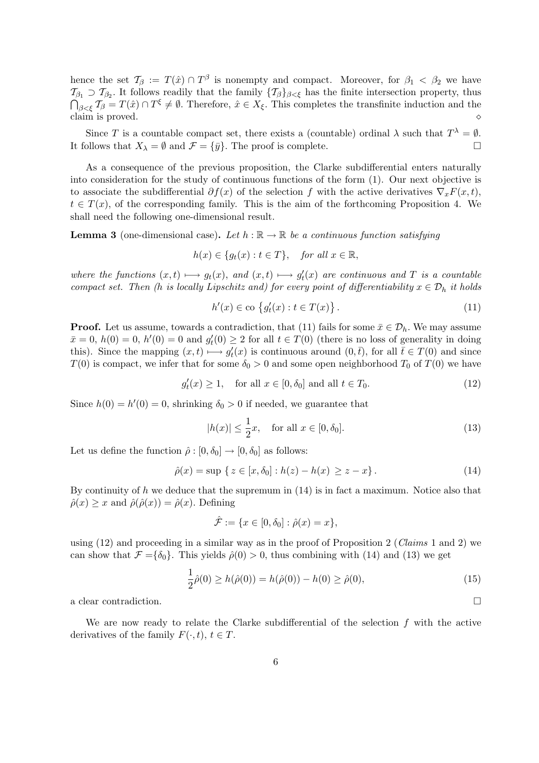hence the set  $\mathcal{T}_{\beta} := T(\hat{x}) \cap T^{\beta}$  is nonempty and compact. Moreover, for  $\beta_1 < \beta_2$  we have  $\mathcal{T}_{\beta_1} \supset \mathcal{T}_{\beta_2}$ . It follows readily that the family  $\{\mathcal{T}_{\beta}\}_{{\beta<\xi}}$  has the finite intersection property, thus  $\mathcal{J}_{\beta<\xi}$   $\mathcal{T}_{\beta}=T(\hat{x})\cap T^{\xi}\neq\emptyset$ . Therefore,  $\hat{x}\in X_{\xi}$ . This completes the transfinite induction and the claim is proved.  $\Diamond$ 

Since T is a countable compact set, there exists a (countable) ordinal  $\lambda$  such that  $T^{\lambda} = \emptyset$ . It follows that  $X_{\lambda} = \emptyset$  and  $\mathcal{F} = {\overline{y}}$ . The proof is complete.

As a consequence of the previous proposition, the Clarke subdifferential enters naturally into consideration for the study of continuous functions of the form (1). Our next objective is to associate the subdifferential  $\partial f(x)$  of the selection f with the active derivatives  $\nabla_x F(x,t)$ ,  $t \in T(x)$ , of the corresponding family. This is the aim of the forthcoming Proposition 4. We shall need the following one-dimensional result.

**Lemma 3** (one-dimensional case). Let  $h : \mathbb{R} \to \mathbb{R}$  be a continuous function satisfying

$$
h(x) \in \{g_t(x) : t \in T\}, \quad \text{for all } x \in \mathbb{R},
$$

where the functions  $(x,t) \longmapsto g_t(x)$ , and  $(x,t) \longmapsto g'_t(x)$  are continuous and T is a countable compact set. Then (h is locally Lipschitz and) for every point of differentiability  $x \in \mathcal{D}_h$  it holds

$$
h'(x) \in \text{co} \left\{ g'_t(x) : t \in T(x) \right\}. \tag{11}
$$

**Proof.** Let us assume, towards a contradiction, that (11) fails for some  $\bar{x} \in \mathcal{D}_h$ . We may assume  $\bar{x} = 0$ ,  $h(0) = 0$ ,  $h'(0) = 0$  and  $g'_t(0) \ge 2$  for all  $t \in T(0)$  (there is no loss of generality in doing this). Since the mapping  $(x,t) \longmapsto g_t'(x)$  is continuous around  $(0,\bar{t})$ , for all  $\bar{t} \in T(0)$  and since  $T(0)$  is compact, we infer that for some  $\delta_0 > 0$  and some open neighborhood  $T_0$  of  $T(0)$  we have

$$
g_t'(x) \ge 1, \quad \text{for all } x \in [0, \delta_0] \text{ and all } t \in T_0. \tag{12}
$$

Since  $h(0) = h'(0) = 0$ , shrinking  $\delta_0 > 0$  if needed, we guarantee that

$$
|h(x)| \le \frac{1}{2}x, \quad \text{for all } x \in [0, \delta_0]. \tag{13}
$$

Let us define the function  $\hat{\rho} : [0, \delta_0] \to [0, \delta_0]$  as follows:

$$
\hat{\rho}(x) = \sup \{ z \in [x, \delta_0] : h(z) - h(x) \ge z - x \}.
$$
\n(14)

By continuity of h we deduce that the supremum in  $(14)$  is in fact a maximum. Notice also that  $\hat{\rho}(x) \geq x$  and  $\hat{\rho}(\hat{\rho}(x)) = \hat{\rho}(x)$ . Defining

$$
\hat{\mathcal{F}} := \{ x \in [0, \delta_0] : \hat{\rho}(x) = x \},
$$

using  $(12)$  and proceeding in a similar way as in the proof of Proposition 2 (*Claims* 1 and 2) we can show that  $\mathcal{F} = {\delta_0}$ . This yields  $\hat{\rho}(0) > 0$ , thus combining with (14) and (13) we get

$$
\frac{1}{2}\hat{\rho}(0) \ge h(\hat{\rho}(0)) = h(\hat{\rho}(0)) - h(0) \ge \hat{\rho}(0),\tag{15}
$$

a clear contradiction.  $\Box$ 

We are now ready to relate the Clarke subdifferential of the selection  $f$  with the active derivatives of the family  $F(\cdot, t)$ ,  $t \in T$ .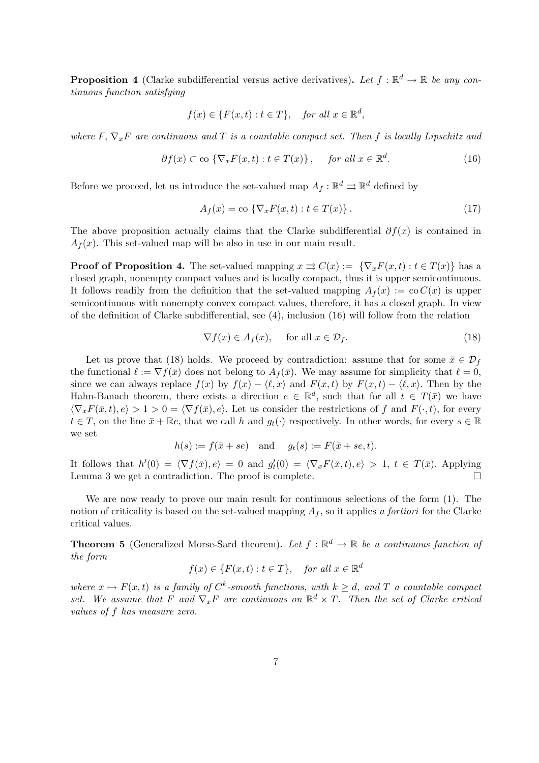**Proposition 4** (Clarke subdifferential versus active derivatives). Let  $f : \mathbb{R}^d \to \mathbb{R}$  be any continuous function satisfying

$$
f(x) \in \{F(x,t) : t \in T\}, \text{ for all } x \in \mathbb{R}^d,
$$

where F,  $\nabla_{x}F$  are continuous and T is a countable compact set. Then f is locally Lipschitz and

$$
\partial f(x) \subset \text{co } \{ \nabla_x F(x, t) : t \in T(x) \}, \quad \text{for all } x \in \mathbb{R}^d. \tag{16}
$$

Before we proceed, let us introduce the set-valued map  $A_f : \mathbb{R}^d \rightrightarrows \mathbb{R}^d$  defined by

$$
A_f(x) = \text{co }\left\{\nabla_x F(x,t) : t \in T(x)\right\}.
$$
\n
$$
(17)
$$

The above proposition actually claims that the Clarke subdifferential  $\partial f(x)$  is contained in  $A_f(x)$ . This set-valued map will be also in use in our main result.

**Proof of Proposition 4.** The set-valued mapping  $x \Rightarrow C(x) := {\nabla_x F(x, t) : t \in T(x)}$  has a closed graph, nonempty compact values and is locally compact, thus it is upper semicontinuous. It follows readily from the definition that the set-valued mapping  $A_f(x) := \text{co } C(x)$  is upper semicontinuous with nonempty convex compact values, therefore, it has a closed graph. In view of the definition of Clarke subdifferential, see (4), inclusion (16) will follow from the relation

$$
\nabla f(x) \in A_f(x), \quad \text{for all } x \in \mathcal{D}_f. \tag{18}
$$

Let us prove that (18) holds. We proceed by contradiction: assume that for some  $\bar{x} \in \mathcal{D}_f$ the functional  $\ell := \nabla f(\bar{x})$  does not belong to  $A_f(\bar{x})$ . We may assume for simplicity that  $\ell = 0$ , since we can always replace  $f(x)$  by  $f(x) - \langle \ell, x \rangle$  and  $F(x, t)$  by  $F(x, t) - \langle \ell, x \rangle$ . Then by the Hahn-Banach theorem, there exists a direction  $e \in \mathbb{R}^d$ , such that for all  $t \in T(\bar{x})$  we have  $\langle \nabla_x F(\bar{x}, t), e \rangle > 1 > 0 = \langle \nabla f(\bar{x}), e \rangle$ . Let us consider the restrictions of f and  $F(\cdot, t)$ , for every  $t \in T$ , on the line  $\bar{x} + \mathbb{R}e$ , that we call h and  $g_t(\cdot)$  respectively. In other words, for every  $s \in \mathbb{R}$ we set

$$
h(s) := f(\bar{x} + se) \quad \text{and} \quad g_t(s) := F(\bar{x} + se, t).
$$

It follows that  $h'(0) = \langle \nabla f(\bar{x}), e \rangle = 0$  and  $g'_t(0) = \langle \nabla_x F(\bar{x}, t), e \rangle > 1$ ,  $t \in T(\bar{x})$ . Applying Lemma 3 we get a contradiction. The proof is complete.  $\Box$ 

We are now ready to prove our main result for continuous selections of the form (1). The notion of criticality is based on the set-valued mapping  $A_f$ , so it applies a fortiori for the Clarke critical values.

**Theorem 5** (Generalized Morse-Sard theorem). Let  $f : \mathbb{R}^d \to \mathbb{R}$  be a continuous function of the form

$$
f(x) \in \{F(x, t) : t \in T\}, \quad \text{for all } x \in \mathbb{R}^d
$$

where  $x \mapsto F(x, t)$  is a family of  $C^k$ -smooth functions, with  $k \geq d$ , and T a countable compact set. We assume that F and  $\nabla_x F$  are continuous on  $\mathbb{R}^d \times T$ . Then the set of Clarke critical values of f has measure zero.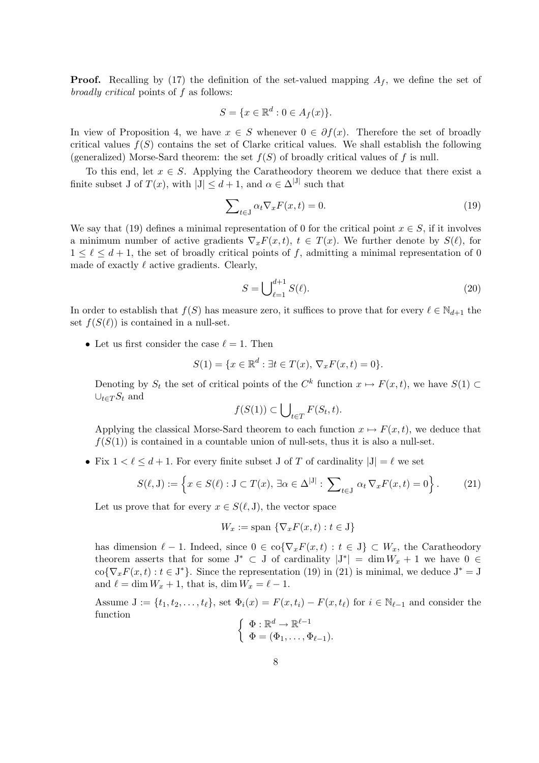**Proof.** Recalling by (17) the definition of the set-valued mapping  $A_f$ , we define the set of broadly critical points of f as follows:

$$
S = \{ x \in \mathbb{R}^d : 0 \in A_f(x) \}.
$$

In view of Proposition 4, we have  $x \in S$  whenever  $0 \in \partial f(x)$ . Therefore the set of broadly critical values  $f(S)$  contains the set of Clarke critical values. We shall establish the following (generalized) Morse-Sard theorem: the set  $f(S)$  of broadly critical values of f is null.

To this end, let  $x \in S$ . Applying the Caratheodory theorem we deduce that there exist a finite subset J of  $T(x)$ , with  $|J| \le d+1$ , and  $\alpha \in \Delta^{|J|}$  such that

$$
\sum_{t \in J} \alpha_t \nabla_x F(x, t) = 0. \tag{19}
$$

We say that (19) defines a minimal representation of 0 for the critical point  $x \in S$ , if it involves a minimum number of active gradients  $\nabla_x F(x,t), t \in T(x)$ . We further denote by  $S(\ell)$ , for  $1 \leq \ell \leq d+1$ , the set of broadly critical points of f, admitting a minimal representation of 0 made of exactly  $\ell$  active gradients. Clearly,

$$
S = \bigcup_{\ell=1}^{d+1} S(\ell). \tag{20}
$$

In order to establish that  $f(S)$  has measure zero, it suffices to prove that for every  $\ell \in \mathbb{N}_{d+1}$  the set  $f(S(\ell))$  is contained in a null-set.

• Let us first consider the case  $\ell = 1$ . Then

$$
S(1) = \{x \in \mathbb{R}^d : \exists t \in T(x), \, \nabla_x F(x, t) = 0\}.
$$

Denoting by  $S_t$  the set of critical points of the  $C^k$  function  $x \mapsto F(x, t)$ , we have  $S(1) \subset$  $\cup_{t\in T} S_t$  and  $\mathbf{r}$ 

$$
f(S(1)) \subset \bigcup_{t \in T} F(S_t, t).
$$

Applying the classical Morse-Sard theorem to each function  $x \mapsto F(x, t)$ , we deduce that  $f(S(1))$  is contained in a countable union of null-sets, thus it is also a null-set.

• Fix  $1 < \ell \leq d + 1$ . For every finite subset J of T of cardinality  $|J| = \ell$  we set

$$
S(\ell, J) := \left\{ x \in S(\ell) : J \subset T(x), \, \exists \alpha \in \Delta^{|J|} : \, \sum_{t \in J} \alpha_t \, \nabla_x F(x, t) = 0 \right\}.
$$
 (21)

Let us prove that for every  $x \in S(\ell, J)$ , the vector space

$$
W_x := \text{span } \{ \nabla_x F(x, t) : t \in J \}
$$

has dimension  $\ell - 1$ . Indeed, since  $0 \in \text{co}\{\nabla_x F(x, t) : t \in J\} \subset W_x$ , the Caratheodory theorem asserts that for some  $J^* \subset J$  of cardinality  $|J^*| = \dim W_x + 1$  we have  $0 \in$  $\text{co}\{\nabla_x F(x,t): t \in J^*\}.$  Since the representation (19) in (21) is minimal, we deduce  $J^* = J$ and  $\ell = \dim W_x + 1$ , that is,  $\dim W_x = \ell - 1$ .

Assume  $J := \{t_1, t_2, \ldots, t_\ell\}$ , set  $\Phi_i(x) = F(x, t_i) - F(x, t_\ell)$  for  $i \in \mathbb{N}_{\ell-1}$  and consider the function ½

$$
\begin{cases} \Phi: \mathbb{R}^d \to \mathbb{R}^{\ell-1} \\ \Phi = (\Phi_1, \dots, \Phi_{\ell-1}). \end{cases}
$$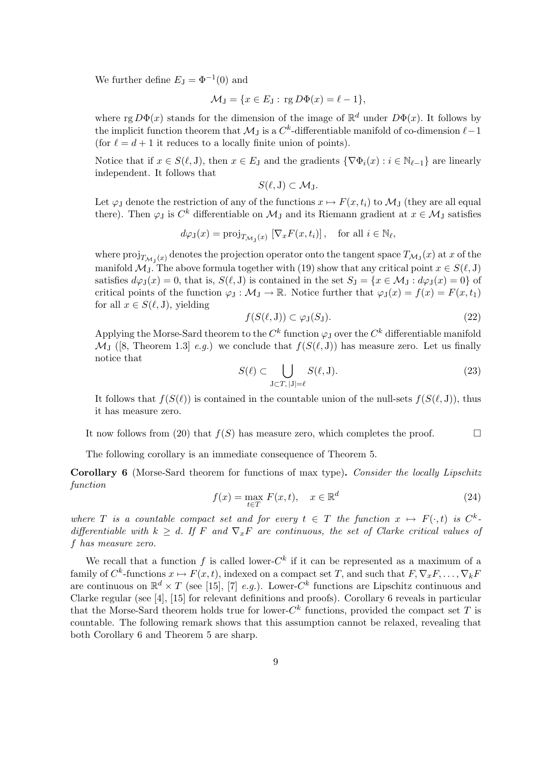We further define  $E_J = \Phi^{-1}(0)$  and

$$
\mathcal{M}_{\mathcal{J}} = \{ x \in E_{\mathcal{J}} : \text{rg } D\Phi(x) = \ell - 1 \},
$$

where rg  $D\Phi(x)$  stands for the dimension of the image of  $\mathbb{R}^d$  under  $D\Phi(x)$ . It follows by the implicit function theorem that  $\mathcal{M}_J$  is a  $C^k$ -differentiable manifold of co-dimension  $\ell-1$ (for  $\ell = d + 1$  it reduces to a locally finite union of points).

Notice that if  $x \in S(\ell, J)$ , then  $x \in E_J$  and the gradients  $\{\nabla \Phi_i(x) : i \in \mathbb{N}_{\ell-1}\}\$  are linearly independent. It follows that

$$
S(\ell, J) \subset \mathcal{M}_J.
$$

Let  $\varphi_J$  denote the restriction of any of the functions  $x \mapsto F(x, t_i)$  to  $\mathcal{M}_J$  (they are all equal there). Then  $\varphi_J$  is  $C^k$  differentiable on  $\mathcal{M}_J$  and its Riemann gradient at  $x \in \mathcal{M}_J$  satisfies

$$
d\varphi_J(x) = \text{proj}_{T_{\mathcal{M}_J}(x)} [\nabla_x F(x, t_i)], \text{ for all } i \in \mathbb{N}_{\ell},
$$

where  $\mathrm{proj}_{T_{\mathcal{M}_{\mathrm{J}}}(x)}$  denotes the projection operator onto the tangent space  $T_{\mathcal{M}_{\mathrm{J}}}(x)$  at  $x$  of the manifold  $\mathcal{M}_J$ . The above formula together with (19) show that any critical point  $x \in S(\ell, J)$ satisfies  $d\varphi_J(x) = 0$ , that is,  $S(\ell, J)$  is contained in the set  $S_J = \{x \in \mathcal{M}_J : d\varphi_J(x) = 0\}$  of critical points of the function  $\varphi_J : \mathcal{M}_J \to \mathbb{R}$ . Notice further that  $\varphi_J(x) = f(x) = F(x, t_1)$ for all  $x \in S(\ell, J)$ , yielding

$$
f(S(\ell, J)) \subset \varphi_J(S_J). \tag{22}
$$

Applying the Morse-Sard theorem to the  $C^k$  function  $\varphi_J$  over the  $C^k$  differentiable manifold  $\mathcal{M}_{J}$  ([8, Theorem 1.3] e.g.) we conclude that  $f(S(\ell, J))$  has measure zero. Let us finally notice that  $\mathbf{r}$ 

$$
S(\ell) \subset \bigcup_{\mathbf{J}\subset T, \,|\mathbf{J}|=\ell} S(\ell, \mathbf{J}).\tag{23}
$$

It follows that  $f(S(\ell))$  is contained in the countable union of the null-sets  $f(S(\ell, J))$ , thus it has measure zero.

It now follows from (20) that  $f(S)$  has measure zero, which completes the proof.  $\Box$ 

The following corollary is an immediate consequence of Theorem 5.

Corollary 6 (Morse-Sard theorem for functions of max type). Consider the locally Lipschitz function

$$
f(x) = \max_{t \in T} F(x, t), \quad x \in \mathbb{R}^d
$$
 (24)

where T is a countable compact set and for every  $t \in T$  the function  $x \mapsto F(\cdot, t)$  is  $C^k$ . differentiable with  $k \geq d$ . If F and  $\nabla_x F$  are continuous, the set of Clarke critical values of f has measure zero.

We recall that a function f is called lower- $C<sup>k</sup>$  if it can be represented as a maximum of a family of  $C^k$ -functions  $x \mapsto F(x, t)$ , indexed on a compact set T, and such that  $F, \nabla_x F, \ldots, \nabla_k F$ are continuous on  $\mathbb{R}^d \times T$  (see [15], [7] *e.g.*). Lower-C<sup>k</sup> functions are Lipschitz continuous and Clarke regular (see [4], [15] for relevant definitions and proofs). Corollary 6 reveals in particular that the Morse-Sard theorem holds true for lower- $C<sup>k</sup>$  functions, provided the compact set T is countable. The following remark shows that this assumption cannot be relaxed, revealing that both Corollary 6 and Theorem 5 are sharp.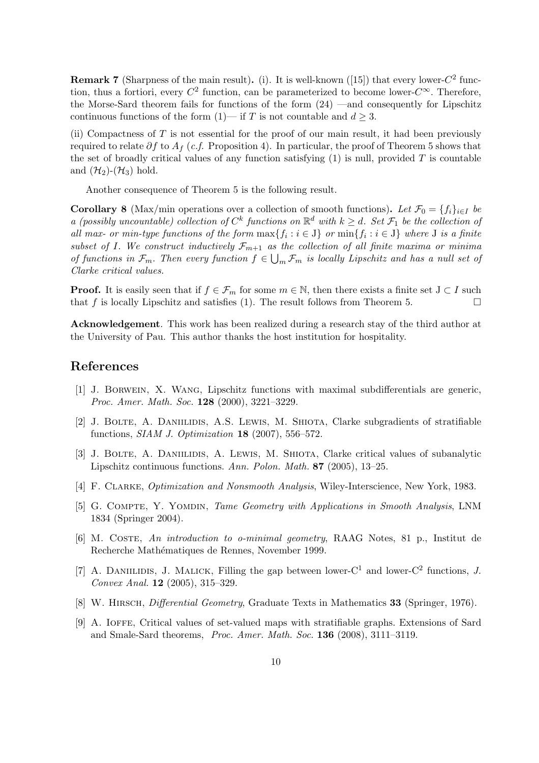**Remark 7** (Sharpness of the main result). (i). It is well-known ([15]) that every lower- $C^2$  function, thus a fortiori, every  $C^2$  function, can be parameterized to become lower- $C^{\infty}$ . Therefore, the Morse-Sard theorem fails for functions of the form (24) —and consequently for Lipschitz continuous functions of the form  $(1)$ — if T is not countable and  $d \geq 3$ .

(ii) Compactness of  $T$  is not essential for the proof of our main result, it had been previously required to relate  $\partial f$  to  $A_f$  (c.f. Proposition 4). In particular, the proof of Theorem 5 shows that the set of broadly critical values of any function satisfying  $(1)$  is null, provided T is countable and  $(\mathcal{H}_2)$ - $(\mathcal{H}_3)$  hold.

Another consequence of Theorem 5 is the following result.

**Corollary 8** (Max/min operations over a collection of smooth functions). Let  $\mathcal{F}_0 = \{f_i\}_{i\in I}$  be a (possibly uncountable) collection of  $C^k$  functions on  $\mathbb{R}^d$  with  $k \geq d$ . Set  $\mathcal{F}_1$  be the collection of all max- or min-type functions of the form  $\max\{f_i : i \in J\}$  or  $\min\{f_i : i \in J\}$  where J is a finite subset of I. We construct inductively  $\mathcal{F}_{m+1}$  as the collection of all finite maxima or minima of functions in  $\mathcal{F}_m$ . Then every function  $f \in \bigcup_m \mathcal{F}_m$  is locally Lipschitz and has a null set of Clarke critical values.

**Proof.** It is easily seen that if  $f \in \mathcal{F}_m$  for some  $m \in \mathbb{N}$ , then there exists a finite set  $J \subset I$  such that f is locally Lipschitz and satisfies (1). The result follows from Theorem 5.  $\Box$ 

Acknowledgement. This work has been realized during a research stay of the third author at the University of Pau. This author thanks the host institution for hospitality.

### References

- [1] J. Borwein, X. Wang, Lipschitz functions with maximal subdifferentials are generic, Proc. Amer. Math. Soc. 128 (2000), 3221–3229.
- [2] J. BOLTE, A. DANIILIDIS, A.S. LEWIS, M. SHIOTA, Clarke subgradients of stratifiable functions,  $SIAM$  J. Optimization 18 (2007), 556–572.
- [3] J. Bolte, A. Daniilidis, A. Lewis, M. Shiota, Clarke critical values of subanalytic Lipschitz continuous functions. Ann. Polon. Math. 87 (2005), 13–25.
- [4] F. Clarke, Optimization and Nonsmooth Analysis, Wiley-Interscience, New York, 1983.
- [5] G. Compte, Y. Yomdin, Tame Geometry with Applications in Smooth Analysis, LNM 1834 (Springer 2004).
- [6] M. Coste, An introduction to o-minimal geometry, RAAG Notes, 81 p., Institut de Recherche Mathématiques de Rennes, November 1999.
- [7] A. DANIILIDIS, J. MALICK, Filling the gap between lower- $C^1$  and lower- $C^2$  functions, J. Convex Anal. 12 (2005), 315–329.
- [8] W. HIRSCH, *Differential Geometry*, Graduate Texts in Mathematics 33 (Springer, 1976).
- [9] A. Ioffe, Critical values of set-valued maps with stratifiable graphs. Extensions of Sard and Smale-Sard theorems, Proc. Amer. Math. Soc. 136 (2008), 3111–3119.